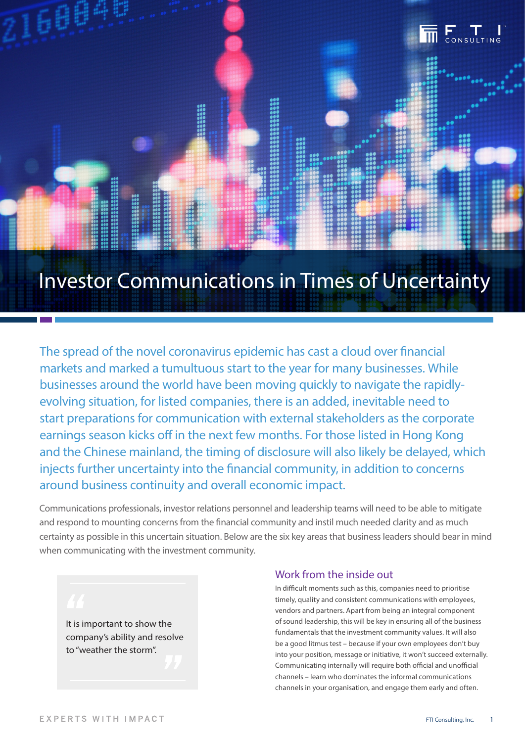

# Investor Communications in Times of Uncertainty

The spread of the novel coronavirus epidemic has cast a cloud over financial markets and marked a tumultuous start to the year for many businesses. While businesses around the world have been moving quickly to navigate the rapidlyevolving situation, for listed companies, there is an added, inevitable need to start preparations for communication with external stakeholders as the corporate earnings season kicks off in the next few months. For those listed in Hong Kong and the Chinese mainland, the timing of disclosure will also likely be delayed, which injects further uncertainty into the financial community, in addition to concerns around business continuity and overall economic impact.

Communications professionals, investor relations personnel and leadership teams will need to be able to mitigate and respond to mounting concerns from the financial community and instil much needed clarity and as much certainty as possible in this uncertain situation. Below are the six key areas that business leaders should bear in mind when communicating with the investment community.

It is important to show the company's ability and resolve to "weather the storm".

#### Work from the inside out

In difficult moments such as this, companies need to prioritise timely, quality and consistent communications with employees, vendors and partners. Apart from being an integral component of sound leadership, this will be key in ensuring all of the business fundamentals that the investment community values. It will also be a good litmus test – because if your own employees don't buy into your position, message or initiative, it won't succeed externally. Communicating internally will require both official and unofficial channels – learn who dominates the informal communications channels in your organisation, and engage them early and often.